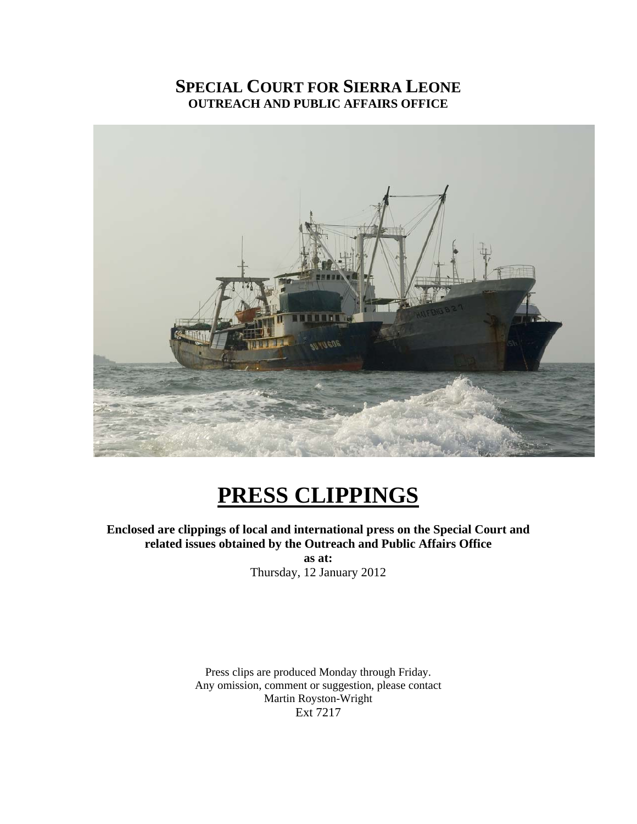# **SPECIAL COURT FOR SIERRA LEONE OUTREACH AND PUBLIC AFFAIRS OFFICE**



# **PRESS CLIPPINGS**

**Enclosed are clippings of local and international press on the Special Court and related issues obtained by the Outreach and Public Affairs Office** 

> **as at:**  Thursday, 12 January 2012

Press clips are produced Monday through Friday. Any omission, comment or suggestion, please contact Martin Royston-Wright Ext 7217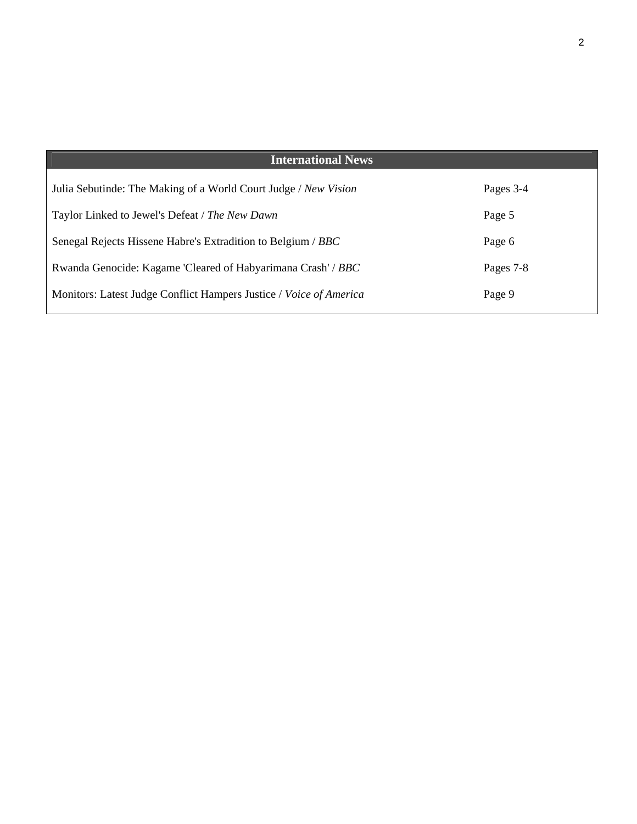| <b>International News</b>                                          |           |
|--------------------------------------------------------------------|-----------|
| Julia Sebutinde: The Making of a World Court Judge / New Vision    | Pages 3-4 |
| Taylor Linked to Jewel's Defeat / The New Dawn                     | Page 5    |
| Senegal Rejects Hissene Habre's Extradition to Belgium / BBC       | Page 6    |
| Rwanda Genocide: Kagame 'Cleared of Habyarimana Crash' / BBC       | Pages 7-8 |
| Monitors: Latest Judge Conflict Hampers Justice / Voice of America | Page 9    |
|                                                                    |           |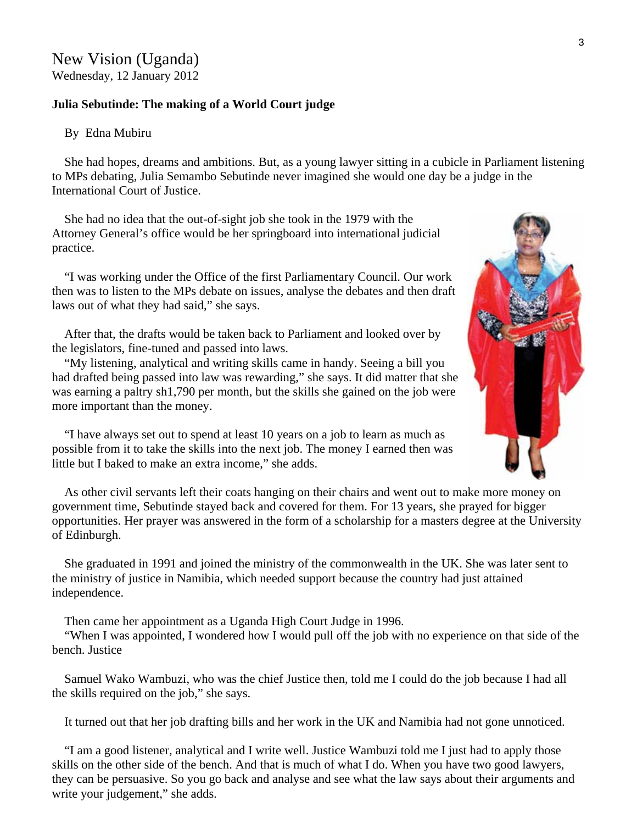## New Vision (Uganda) Wednesday, 12 January 2012

#### **Julia Sebutinde: The making of a World Court judge**

#### By Edna Mubiru

 She had hopes, dreams and ambitions. But, as a young lawyer sitting in a cubicle in Parliament listening to MPs debating, Julia Semambo Sebutinde never imagined she would one day be a judge in the International Court of Justice.

 She had no idea that the out-of-sight job she took in the 1979 with the Attorney General's office would be her springboard into international judicial practice.

 "I was working under the Office of the first Parliamentary Council. Our work then was to listen to the MPs debate on issues, analyse the debates and then draft laws out of what they had said," she says.

 After that, the drafts would be taken back to Parliament and looked over by the legislators, fine-tuned and passed into laws.

 "My listening, analytical and writing skills came in handy. Seeing a bill you had drafted being passed into law was rewarding," she says. It did matter that s he was earning a paltry sh1,790 per month, but the skills she gained on the job were more important than the money.

 "I have always set out to spend at least 10 years on a job to learn as much as possible from it to take the skills into the next job. The money I earned then was little but I baked to make an extra income," she adds.

 As other civil servants left their coats hanging on their chairs and went out to make more money on government time, Sebutinde stayed back and covered for them. For 13 years, she prayed for bigger opportunities. Her prayer was answered in the form of a scholarship for a masters degree at the University of Edinburgh.

 She graduated in 1991 and joined the ministry of the commonwealth in the UK. She was later sent to the ministry of justice in Namibia, which needed support because the country had just attained independence.

Then came her appointment as a Uganda High Court Judge in 1996.

 "When I was appointed, I wondered how I would pull off the job with no experience on that side of the bench. Justice

 Samuel Wako Wambuzi, who was the chief Justice then, told me I could do the job because I had all the skills required on the job," she says.

It turned out that her job drafting bills and her work in the UK and Namibia had not gone unnoticed.

 "I am a good listener, analytical and I write well. Justice Wambuzi told me I just had to apply those skills on the other side of the bench. And that is much of what I do. When you have two good lawyers, they can be persuasive. So you go back and analyse and see what the law says about their arguments and write your judgement," she adds.

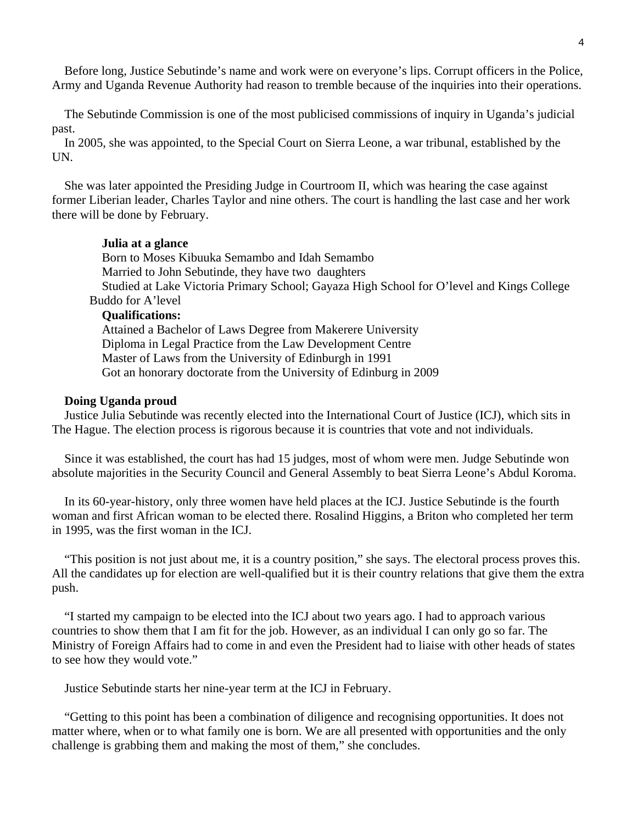Before long, Justice Sebutinde's name and work were on everyone's lips. Corrupt officers in the Police, Army and Uganda Revenue Authority had reason to tremble because of the inquiries into their operations.

 The Sebutinde Commission is one of the most publicised commissions of inquiry in Uganda's judicial past.

 In 2005, she was appointed, to the Special Court on Sierra Leone, a war tribunal, established by the UN.

 She was later appointed the Presiding Judge in Courtroom II, which was hearing the case against former Liberian leader, Charles Taylor and nine others. The court is handling the last case and her work there will be done by February.

#### **Julia at a glance**

 Born to Moses Kibuuka Semambo and Idah Semambo Married to John Sebutinde, they have two daughters Studied at Lake Victoria Primary School; Gayaza High School for O'level and Kings College Buddo for A'level **Qualifications:** 

 Attained a Bachelor of Laws Degree from Makerere University Diploma in Legal Practice from the Law Development Centre Master of Laws from the University of Edinburgh in 1991 Got an honorary doctorate from the University of Edinburg in 2009

#### **Doing Uganda proud**

 Justice Julia Sebutinde was recently elected into the International Court of Justice (ICJ), which sits in The Hague. The election process is rigorous because it is countries that vote and not individuals.

 Since it was established, the court has had 15 judges, most of whom were men. Judge Sebutinde won absolute majorities in the Security Council and General Assembly to beat Sierra Leone's Abdul Koroma.

 In its 60-year-history, only three women have held places at the ICJ. Justice Sebutinde is the fourth woman and first African woman to be elected there. Rosalind Higgins, a Briton who completed her term in 1995, was the first woman in the ICJ.

 "This position is not just about me, it is a country position," she says. The electoral process proves this. All the candidates up for election are well-qualified but it is their country relations that give them the extra push.

 "I started my campaign to be elected into the ICJ about two years ago. I had to approach various countries to show them that I am fit for the job. However, as an individual I can only go so far. The Ministry of Foreign Affairs had to come in and even the President had to liaise with other heads of states to see how they would vote."

Justice Sebutinde starts her nine-year term at the ICJ in February.

 "Getting to this point has been a combination of diligence and recognising opportunities. It does not matter where, when or to what family one is born. We are all presented with opportunities and the only challenge is grabbing them and making the most of them," she concludes.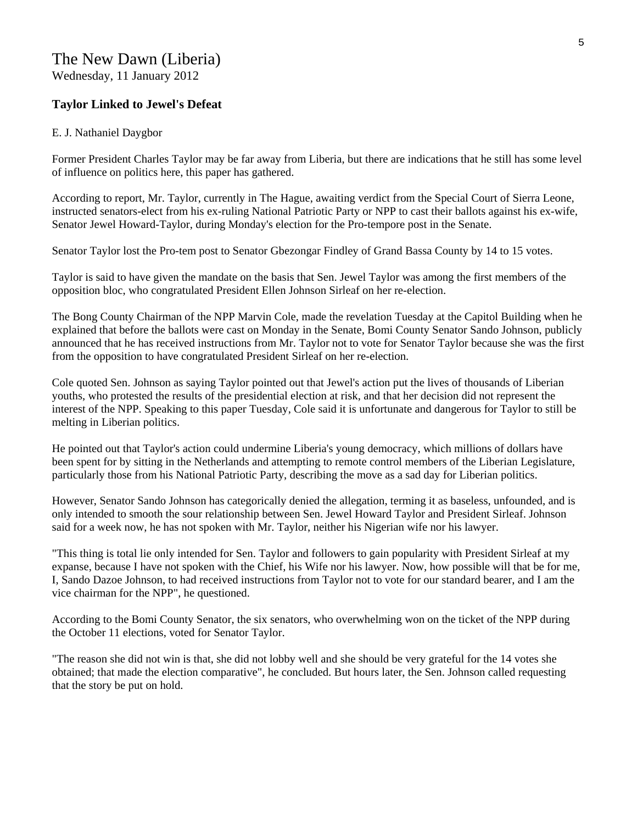#### **Taylor Linked to Jewel's Defeat**

#### E. J. Nathaniel Daygbor

Former President Charles Taylor may be far away from Liberia, but there are indications that he still has some level of influence on politics here, this paper has gathered.

According to report, Mr. Taylor, currently in The Hague, awaiting verdict from the Special Court of Sierra Leone, instructed senators-elect from his ex-ruling National Patriotic Party or NPP to cast their ballots against his ex-wife, Senator Jewel Howard-Taylor, during Monday's election for the Pro-tempore post in the Senate.

Senator Taylor lost the Pro-tem post to Senator Gbezongar Findley of Grand Bassa County by 14 to 15 votes.

Taylor is said to have given the mandate on the basis that Sen. Jewel Taylor was among the first members of the opposition bloc, who congratulated President Ellen Johnson Sirleaf on her re-election.

The Bong County Chairman of the NPP Marvin Cole, made the revelation Tuesday at the Capitol Building when he explained that before the ballots were cast on Monday in the Senate, Bomi County Senator Sando Johnson, publicly announced that he has received instructions from Mr. Taylor not to vote for Senator Taylor because she was the first from the opposition to have congratulated President Sirleaf on her re-election.

Cole quoted Sen. Johnson as saying Taylor pointed out that Jewel's action put the lives of thousands of Liberian youths, who protested the results of the presidential election at risk, and that her decision did not represent the interest of the NPP. Speaking to this paper Tuesday, Cole said it is unfortunate and dangerous for Taylor to still be melting in Liberian politics.

He pointed out that Taylor's action could undermine Liberia's young democracy, which millions of dollars have been spent for by sitting in the Netherlands and attempting to remote control members of the Liberian Legislature, particularly those from his National Patriotic Party, describing the move as a sad day for Liberian politics.

However, Senator Sando Johnson has categorically denied the allegation, terming it as baseless, unfounded, and is only intended to smooth the sour relationship between Sen. Jewel Howard Taylor and President Sirleaf. Johnson said for a week now, he has not spoken with Mr. Taylor, neither his Nigerian wife nor his lawyer.

"This thing is total lie only intended for Sen. Taylor and followers to gain popularity with President Sirleaf at my expanse, because I have not spoken with the Chief, his Wife nor his lawyer. Now, how possible will that be for me, I, Sando Dazoe Johnson, to had received instructions from Taylor not to vote for our standard bearer, and I am the vice chairman for the NPP", he questioned.

According to the Bomi County Senator, the six senators, who overwhelming won on the ticket of the NPP during the October 11 elections, voted for Senator Taylor.

"The reason she did not win is that, she did not lobby well and she should be very grateful for the 14 votes she obtained; that made the election comparative", he concluded. But hours later, the Sen. Johnson called requesting that the story be put on hold.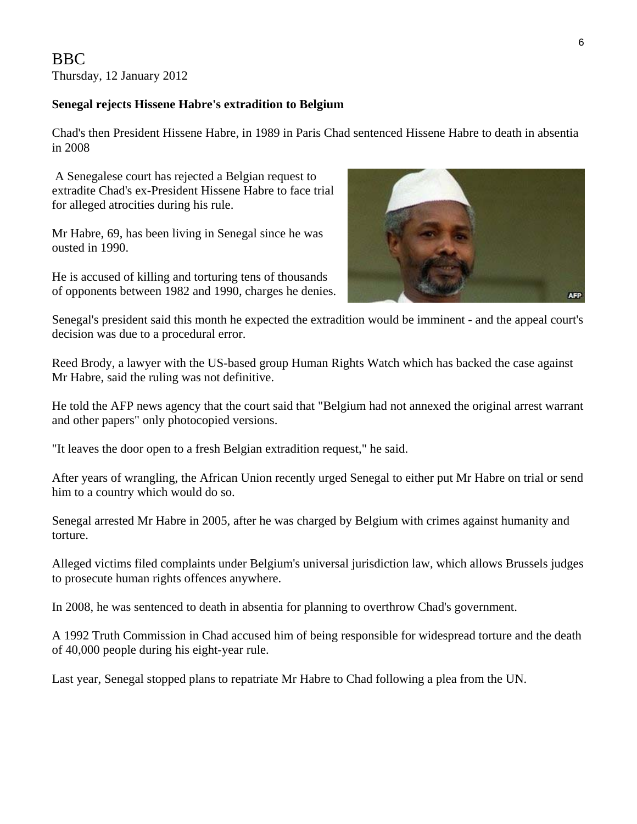#### **Senegal rejects Hissene Habre's extradition to Belgium**

Chad's then President Hissene Habre, in 1989 in Paris Chad sentenced Hissene Habre to death in absentia in 2008

 A Senegalese court has rejected a Belgian request to extradite Chad's ex-President Hissene Habre to face trial for alleged atrocities during his rule.

Mr Habre, 69, has been living in Senegal since he was ousted in 1990.

He is accused of killing and torturing tens of thousands of opponents between 1982 and 1990, charges he denies.



Senegal's president said this month he expected the extradition would be imminent - and the appeal court's decision was due to a procedural error.

Reed Brody, a lawyer with the US-based group Human Rights Watch which has backed the case against Mr Habre, said the ruling was not definitive.

He told the AFP news agency that the court said that "Belgium had not annexed the original arrest warrant and other papers" only photocopied versions.

"It leaves the door open to a fresh Belgian extradition request," he said.

After years of wrangling, the African Union recently urged Senegal to either put Mr Habre on trial or send him to a country which would do so.

Senegal arrested Mr Habre in 2005, after he was charged by Belgium with crimes against humanity and torture.

Alleged victims filed complaints under Belgium's universal jurisdiction law, which allows Brussels judges to prosecute human rights offences anywhere.

In 2008, he was sentenced to death in absentia for planning to overthrow Chad's government.

A 1992 Truth Commission in Chad accused him of being responsible for widespread torture and the death of 40,000 people during his eight-year rule.

Last year, Senegal stopped plans to repatriate Mr Habre to Chad following a plea from the UN.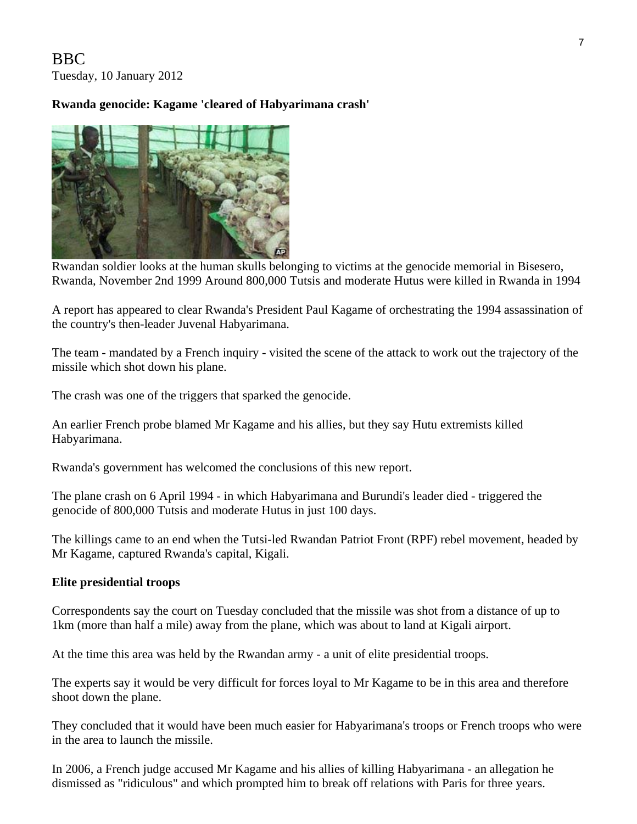BBC Tuesday, 10 January 2012

## **Rwanda genocide: Kagame 'cleared of Habyarimana crash'**



 Rwandan soldier looks at the human skulls belonging to victims at the genocide memorial in Bisesero, Rwanda, November 2nd 1999 Around 800,000 Tutsis and moderate Hutus were killed in Rwanda in 1994

A report has appeared to clear Rwanda's President Paul Kagame of orchestrating the 1994 assassination of the country's then-leader Juvenal Habyarimana.

The team - mandated by a French inquiry - visited the scene of the attack to work out the trajectory of the missile which shot down his plane.

The crash was one of the triggers that sparked the genocide.

An earlier French probe blamed Mr Kagame and his allies, but they say Hutu extremists killed Habyarimana.

Rwanda's government has welcomed the conclusions of this new report.

The plane crash on 6 April 1994 - in which Habyarimana and Burundi's leader died - triggered the genocide of 800,000 Tutsis and moderate Hutus in just 100 days.

The killings came to an end when the Tutsi-led Rwandan Patriot Front (RPF) rebel movement, headed by Mr Kagame, captured Rwanda's capital, Kigali.

#### **Elite presidential troops**

Correspondents say the court on Tuesday concluded that the missile was shot from a distance of up to 1km (more than half a mile) away from the plane, which was about to land at Kigali airport.

At the time this area was held by the Rwandan army - a unit of elite presidential troops.

The experts say it would be very difficult for forces loyal to Mr Kagame to be in this area and therefore shoot down the plane.

They concluded that it would have been much easier for Habyarimana's troops or French troops who were in the area to launch the missile.

In 2006, a French judge accused Mr Kagame and his allies of killing Habyarimana - an allegation he dismissed as "ridiculous" and which prompted him to break off relations with Paris for three years.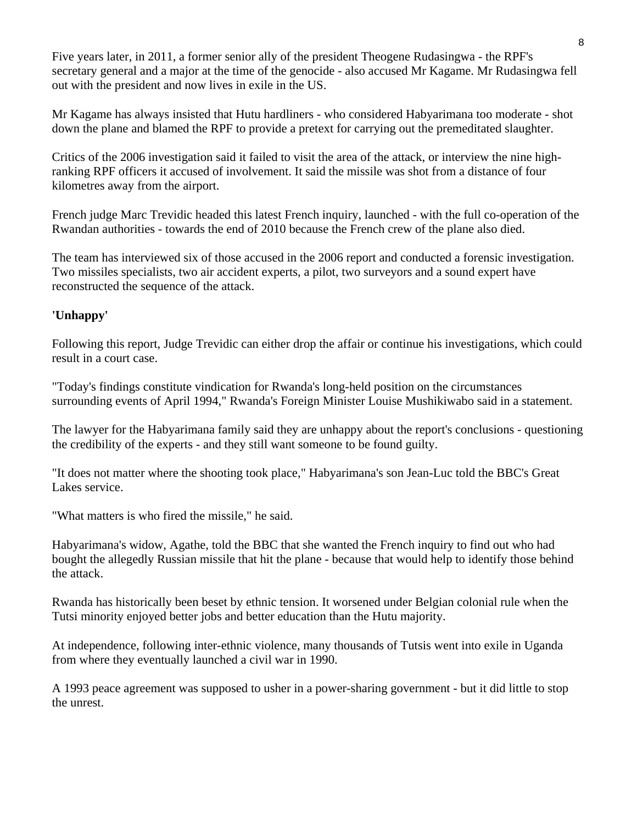Five years later, in 2011, a former senior ally of the president Theogene Rudasingwa - the RPF's secretary general and a major at the time of the genocide - also accused Mr Kagame. Mr Rudasingwa fell out with the president and now lives in exile in the US.

Mr Kagame has always insisted that Hutu hardliners - who considered Habyarimana too moderate - shot down the plane and blamed the RPF to provide a pretext for carrying out the premeditated slaughter.

Critics of the 2006 investigation said it failed to visit the area of the attack, or interview the nine highranking RPF officers it accused of involvement. It said the missile was shot from a distance of four kilometres away from the airport.

French judge Marc Trevidic headed this latest French inquiry, launched - with the full co-operation of the Rwandan authorities - towards the end of 2010 because the French crew of the plane also died.

The team has interviewed six of those accused in the 2006 report and conducted a forensic investigation. Two missiles specialists, two air accident experts, a pilot, two surveyors and a sound expert have reconstructed the sequence of the attack.

# **'Unhappy'**

Following this report, Judge Trevidic can either drop the affair or continue his investigations, which could result in a court case.

"Today's findings constitute vindication for Rwanda's long-held position on the circumstances surrounding events of April 1994," Rwanda's Foreign Minister Louise Mushikiwabo said in a statement.

The lawyer for the Habyarimana family said they are unhappy about the report's conclusions - questioning the credibility of the experts - and they still want someone to be found guilty.

"It does not matter where the shooting took place," Habyarimana's son Jean-Luc told the BBC's Great Lakes service.

"What matters is who fired the missile," he said.

Habyarimana's widow, Agathe, told the BBC that she wanted the French inquiry to find out who had bought the allegedly Russian missile that hit the plane - because that would help to identify those behind the attack.

Rwanda has historically been beset by ethnic tension. It worsened under Belgian colonial rule when the Tutsi minority enjoyed better jobs and better education than the Hutu majority.

At independence, following inter-ethnic violence, many thousands of Tutsis went into exile in Uganda from where they eventually launched a civil war in 1990.

A 1993 peace agreement was supposed to usher in a power-sharing government - but it did little to stop the unrest.